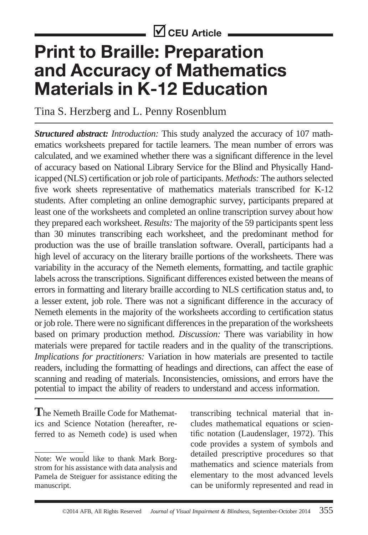# **Print to Braille: Preparation and Accuracy of Mathematics Materials in K-12 Education**

Tina S. Herzberg and L. Penny Rosenblum

*Structured abstract: Introduction:* This study analyzed the accuracy of 107 mathematics worksheets prepared for tactile learners. The mean number of errors was calculated, and we examined whether there was a significant difference in the level of accuracy based on National Library Service for the Blind and Physically Handicapped (NLS) certification or job role of participants. *Methods:* The authors selected five work sheets representative of mathematics materials transcribed for K-12 students. After completing an online demographic survey, participants prepared at least one of the worksheets and completed an online transcription survey about how they prepared each worksheet. *Results:* The majority of the 59 participants spent less than 30 minutes transcribing each worksheet, and the predominant method for production was the use of braille translation software. Overall, participants had a high level of accuracy on the literary braille portions of the worksheets. There was variability in the accuracy of the Nemeth elements, formatting, and tactile graphic labels across the transcriptions. Significant differences existed between the means of errors in formatting and literary braille according to NLS certification status and, to a lesser extent, job role. There was not a significant difference in the accuracy of Nemeth elements in the majority of the worksheets according to certification status or job role. There were no significant differences in the preparation of the worksheets based on primary production method. *Discussion:* There was variability in how materials were prepared for tactile readers and in the quality of the transcriptions. *Implications for practitioners:* Variation in how materials are presented to tactile readers, including the formatting of headings and directions, can affect the ease of scanning and reading of materials. Inconsistencies, omissions, and errors have the potential to impact the ability of readers to understand and access information.

**T**he Nemeth Braille Code for Mathematics and Science Notation (hereafter, referred to as Nemeth code) is used when transcribing technical material that includes mathematical equations or scientific notation (Laudenslager, 1972). This code provides a system of symbols and detailed prescriptive procedures so that mathematics and science materials from elementary to the most advanced levels can be uniformly represented and read in

Note: We would like to thank Mark Borgstrom for his assistance with data analysis and Pamela de Steiguer for assistance editing the manuscript.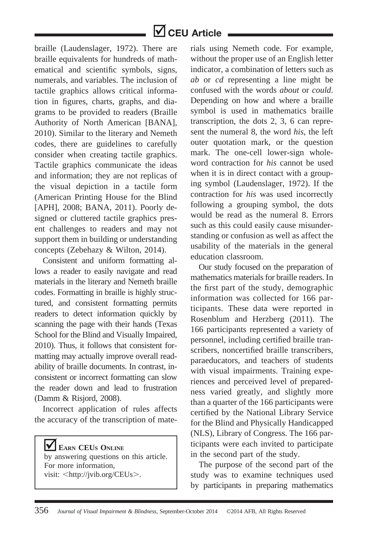

braille (Laudenslager, 1972). There are braille equivalents for hundreds of mathematical and scientific symbols, signs, numerals, and variables. The inclusion of tactile graphics allows critical information in figures, charts, graphs, and diagrams to be provided to readers (Braille Authority of North American [BANA], 2010). Similar to the literary and Nemeth codes, there are guidelines to carefully consider when creating tactile graphics. Tactile graphics communicate the ideas and information; they are not replicas of the visual depiction in a tactile form (American Printing House for the Blind [APH], 2008; BANA, 2011). Poorly designed or cluttered tactile graphics present challenges to readers and may not support them in building or understanding concepts (Zebehazy & Wilton, 2014).

Consistent and uniform formatting allows a reader to easily navigate and read materials in the literary and Nemeth braille codes. Formatting in braille is highly structured, and consistent formatting permits readers to detect information quickly by scanning the page with their hands (Texas School for the Blind and Visually Impaired, 2010). Thus, it follows that consistent formatting may actually improve overall readability of braille documents. In contrast, inconsistent or incorrect formatting can slow the reader down and lead to frustration (Damm & Risjord, 2008).

Incorrect application of rules affects the accuracy of the transcription of mate-

**EARN CEUS ONLINE** by answering questions on this article. For more information, visit: <<http://jvib.org/CEUs>>.

rials using Nemeth code. For example, without the proper use of an English letter indicator, a combination of letters such as *ab* or *cd* representing a line might be confused with the words *about* or *could*. Depending on how and where a braille symbol is used in mathematics braille transcription, the dots 2, 3, 6 can represent the numeral 8, the word *his*, the left outer quotation mark, or the question mark. The one-cell lower-sign wholeword contraction for *his* cannot be used when it is in direct contact with a grouping symbol (Laudenslager, 1972). If the contraction for *his* was used incorrectly following a grouping symbol, the dots would be read as the numeral 8. Errors such as this could easily cause misunderstanding or confusion as well as affect the usability of the materials in the general education classroom.

Our study focused on the preparation of mathematics materials for braille readers. In the first part of the study, demographic information was collected for 166 participants. These data were reported in Rosenblum and Herzberg (2011). The 166 participants represented a variety of personnel, including certified braille transcribers, noncertified braille transcribers, paraeducators, and teachers of students with visual impairments. Training experiences and perceived level of preparedness varied greatly, and slightly more than a quarter of the 166 participants were certified by the National Library Service for the Blind and Physically Handicapped (NLS), Library of Congress. The 166 participants were each invited to participate in the second part of the study.

The purpose of the second part of the study was to examine techniques used by participants in preparing mathematics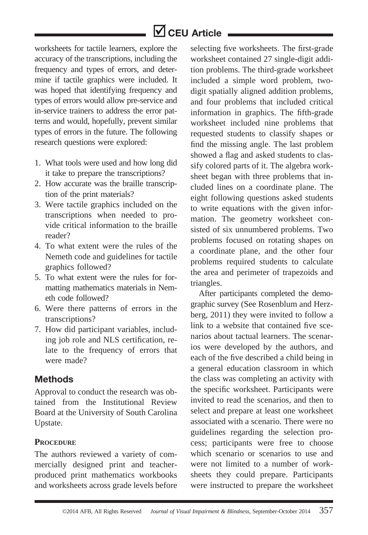

worksheets for tactile learners, explore the accuracy of the transcriptions, including the frequency and types of errors, and determine if tactile graphics were included. It was hoped that identifying frequency and types of errors would allow pre-service and in-service trainers to address the error patterns and would, hopefully, prevent similar types of errors in the future. The following research questions were explored:

- 1. What tools were used and how long did it take to prepare the transcriptions?
- 2. How accurate was the braille transcription of the print materials?
- 3. Were tactile graphics included on the transcriptions when needed to provide critical information to the braille reader?
- 4. To what extent were the rules of the Nemeth code and guidelines for tactile graphics followed?
- 5. To what extent were the rules for formatting mathematics materials in Nemeth code followed?
- 6. Were there patterns of errors in the transcriptions?
- 7. How did participant variables, including job role and NLS certification, relate to the frequency of errors that were made?

# **Methods**

Approval to conduct the research was obtained from the Institutional Review Board at the University of South Carolina Upstate.

# **PROCEDURE**

The authors reviewed a variety of commercially designed print and teacherproduced print mathematics workbooks and worksheets across grade levels before

selecting five worksheets. The first-grade worksheet contained 27 single-digit addition problems. The third-grade worksheet included a simple word problem, twodigit spatially aligned addition problems, and four problems that included critical information in graphics. The fifth-grade worksheet included nine problems that requested students to classify shapes or find the missing angle. The last problem showed a flag and asked students to classify colored parts of it. The algebra worksheet began with three problems that included lines on a coordinate plane. The eight following questions asked students to write equations with the given information. The geometry worksheet consisted of six unnumbered problems. Two problems focused on rotating shapes on a coordinate plane, and the other four problems required students to calculate the area and perimeter of trapezoids and triangles.

After participants completed the demographic survey (See Rosenblum and Herzberg, 2011) they were invited to follow a link to a website that contained five scenarios about tactual learners. The scenarios were developed by the authors, and each of the five described a child being in a general education classroom in which the class was completing an activity with the specific worksheet. Participants were invited to read the scenarios, and then to select and prepare at least one worksheet associated with a scenario. There were no guidelines regarding the selection process; participants were free to choose which scenario or scenarios to use and were not limited to a number of worksheets they could prepare. Participants were instructed to prepare the worksheet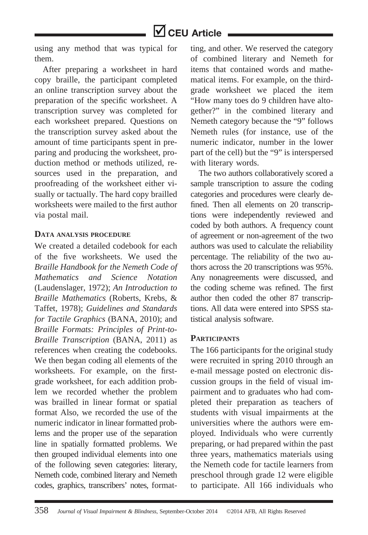

using any method that was typical for them.

After preparing a worksheet in hard copy braille, the participant completed an online transcription survey about the preparation of the specific worksheet. A transcription survey was completed for each worksheet prepared. Questions on the transcription survey asked about the amount of time participants spent in preparing and producing the worksheet, production method or methods utilized, resources used in the preparation, and proofreading of the worksheet either visually or tactually. The hard copy brailled worksheets were mailed to the first author via postal mail.

#### **DATA ANALYSIS PROCEDURE**

We created a detailed codebook for each of the five worksheets. We used the *Braille Handbook for the Nemeth Code of Mathematics and Science Notation* (Laudenslager, 1972); *An Introduction to Braille Mathematics* (Roberts, Krebs, & Taffet, 1978); *Guidelines and Standards for Tactile Graphics* (BANA, 2010); and *Braille Formats: Principles of Print-to-Braille Transcription* (BANA, 2011) as references when creating the codebooks. We then began coding all elements of the worksheets. For example, on the firstgrade worksheet, for each addition problem we recorded whether the problem was brailled in linear format or spatial format Also, we recorded the use of the numeric indicator in linear formatted problems and the proper use of the separation line in spatially formatted problems. We then grouped individual elements into one of the following seven categories: literary, Nemeth code, combined literary and Nemeth codes, graphics, transcribers' notes, format-

ting, and other. We reserved the category of combined literary and Nemeth for items that contained words and mathematical items. For example, on the thirdgrade worksheet we placed the item "How many toes do 9 children have altogether?" in the combined literary and Nemeth category because the "9" follows Nemeth rules (for instance, use of the numeric indicator, number in the lower part of the cell) but the "9" is interspersed with literary words.

The two authors collaboratively scored a sample transcription to assure the coding categories and procedures were clearly defined. Then all elements on 20 transcriptions were independently reviewed and coded by both authors. A frequency count of agreement or non-agreement of the two authors was used to calculate the reliability percentage. The reliability of the two authors across the 20 transcriptions was 95%. Any nonagreements were discussed, and the coding scheme was refined. The first author then coded the other 87 transcriptions. All data were entered into SPSS statistical analysis software.

#### **PARTICIPANTS**

The 166 participants for the original study were recruited in spring 2010 through an e-mail message posted on electronic discussion groups in the field of visual impairment and to graduates who had completed their preparation as teachers of students with visual impairments at the universities where the authors were employed. Individuals who were currently preparing, or had prepared within the past three years, mathematics materials using the Nemeth code for tactile learners from preschool through grade 12 were eligible to participate. All 166 individuals who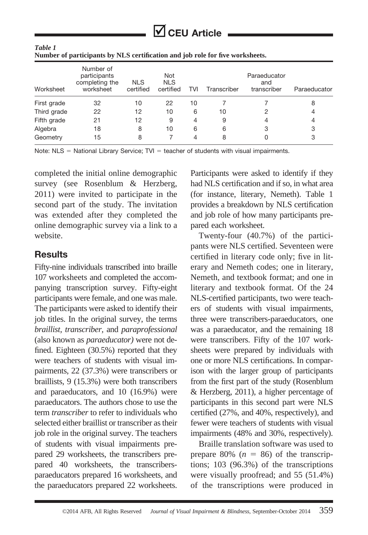

| Worksheet   | Number of<br>participants<br>completing the<br>worksheet | NLS.<br>certified | Not<br><b>NLS</b><br>certified | <b>TVI</b> | Transcriber | Paraeducator<br>and<br>transcriber | Paraeducator |
|-------------|----------------------------------------------------------|-------------------|--------------------------------|------------|-------------|------------------------------------|--------------|
| First grade | 32                                                       | 10                | 22                             | 10         |             |                                    | 8            |
| Third grade | 22                                                       | 12                | 10                             | 6          | 10          | 2                                  | 4            |
| Fifth grade | 21                                                       | 12                | 9                              | 4          | 9           | 4                                  | 4            |
| Algebra     | 18                                                       | 8                 | 10                             | 6          | 6           | 3                                  | 3            |
| Geometry    | 15                                                       | 8                 |                                | 4          | 8           |                                    | 3            |
|             |                                                          |                   |                                |            |             |                                    |              |

| . |                                                                               |
|---|-------------------------------------------------------------------------------|
|   | Number of participants by NLS certification and job role for five worksheets. |

Note:  $NLS =$  National Library Service;  $TVI =$  teacher of students with visual impairments.

completed the initial online demographic survey (see Rosenblum & Herzberg, 2011) were invited to participate in the second part of the study. The invitation was extended after they completed the online demographic survey via a link to a website.

#### **Results**

*Table 1*

Fifty-nine individuals transcribed into braille 107 worksheets and completed the accompanying transcription survey. Fifty-eight participants were female, and one was male. The participants were asked to identify their job titles. In the original survey, the terms *braillist, transcriber,* and *paraprofessional* (also known as *paraeducator)* were not defined. Eighteen (30.5%) reported that they were teachers of students with visual impairments, 22 (37.3%) were transcribers or braillists, 9 (15.3%) were both transcribers and paraeducators, and 10 (16.9%) were paraeducators. The authors chose to use the term *transcriber* to refer to individuals who selected either braillist or transcriber as their job role in the original survey. The teachers of students with visual impairments prepared 29 worksheets, the transcribers prepared 40 worksheets, the transcribersparaeducators prepared 16 worksheets, and the paraeducators prepared 22 worksheets. Participants were asked to identify if they had NLS certification and if so, in what area (for instance, literary, Nemeth). Table 1 provides a breakdown by NLS certification and job role of how many participants prepared each worksheet.

Twenty-four (40.7%) of the participants were NLS certified. Seventeen were certified in literary code only; five in literary and Nemeth codes; one in literary, Nemeth, and textbook format; and one in literary and textbook format. Of the 24 NLS-certified participants, two were teachers of students with visual impairments, three were transcribers-paraeducators, one was a paraeducator, and the remaining 18 were transcribers. Fifty of the 107 worksheets were prepared by individuals with one or more NLS certifications. In comparison with the larger group of participants from the first part of the study (Rosenblum & Herzberg, 2011), a higher percentage of participants in this second part were NLS certified (27%, and 40%, respectively), and fewer were teachers of students with visual impairments (48% and 30%, respectively).

Braille translation software was used to prepare 80%  $(n = 86)$  of the transcriptions; 103 (96.3%) of the transcriptions were visually proofread; and 55 (51.4%) of the transcriptions were produced in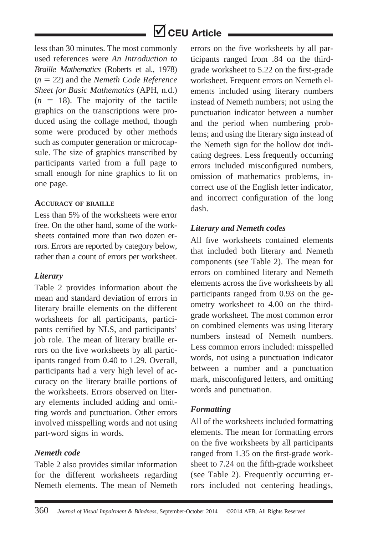

less than 30 minutes. The most commonly used references were *An Introduction to Braille Mathematics* (Roberts et al., 1978) (*n* 22) and the *Nemeth Code Reference Sheet for Basic Mathematics* (APH, n.d.)  $(n = 18)$ . The majority of the tactile graphics on the transcriptions were produced using the collage method, though some were produced by other methods such as computer generation or microcapsule. The size of graphics transcribed by participants varied from a full page to small enough for nine graphics to fit on one page.

#### **ACCURACY OF BRAILLE**

Less than 5% of the worksheets were error free. On the other hand, some of the worksheets contained more than two dozen errors. Errors are reported by category below, rather than a count of errors per worksheet.

#### *Literary*

Table 2 provides information about the mean and standard deviation of errors in literary braille elements on the different worksheets for all participants, participants certified by NLS, and participants' job role. The mean of literary braille errors on the five worksheets by all participants ranged from 0.40 to 1.29. Overall, participants had a very high level of accuracy on the literary braille portions of the worksheets. Errors observed on literary elements included adding and omitting words and punctuation. Other errors involved misspelling words and not using part-word signs in words.

#### *Nemeth code*

Table 2 also provides similar information for the different worksheets regarding Nemeth elements. The mean of Nemeth

errors on the five worksheets by all participants ranged from .84 on the thirdgrade worksheet to 5.22 on the first-grade worksheet. Frequent errors on Nemeth elements included using literary numbers instead of Nemeth numbers; not using the punctuation indicator between a number and the period when numbering problems; and using the literary sign instead of the Nemeth sign for the hollow dot indicating degrees. Less frequently occurring errors included misconfigured numbers, omission of mathematics problems, incorrect use of the English letter indicator, and incorrect configuration of the long dash.

#### *Literary and Nemeth codes*

All five worksheets contained elements that included both literary and Nemeth components (see Table 2). The mean for errors on combined literary and Nemeth elements across the five worksheets by all participants ranged from 0.93 on the geometry worksheet to 4.00 on the thirdgrade worksheet. The most common error on combined elements was using literary numbers instead of Nemeth numbers. Less common errors included: misspelled words, not using a punctuation indicator between a number and a punctuation mark, misconfigured letters, and omitting words and punctuation.

#### *Formatting*

All of the worksheets included formatting elements. The mean for formatting errors on the five worksheets by all participants ranged from 1.35 on the first-grade worksheet to 7.24 on the fifth-grade worksheet (see Table 2). Frequently occurring errors included not centering headings,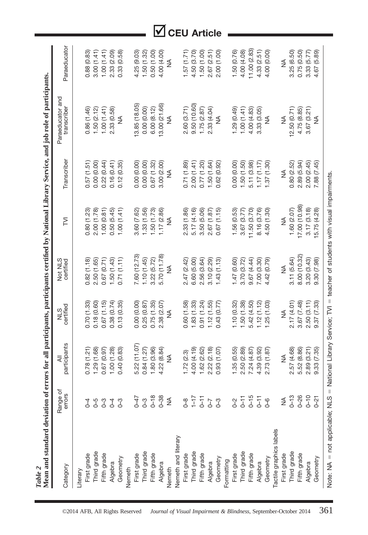| Mean and standard deviation of errors for all participants, participants certified by National Library Service, and job role of participants. |                     |                   |                              |                      |                |             |                                |              |
|-----------------------------------------------------------------------------------------------------------------------------------------------|---------------------|-------------------|------------------------------|----------------------|----------------|-------------|--------------------------------|--------------|
| Category                                                                                                                                      | Range of<br>errors  | participants<br>₹ | certified<br>S<br>UN         | Not NLS<br>certified | Σ              | Transcriber | Paraeducator and<br>transcribe | Paraeducator |
| Literary                                                                                                                                      |                     |                   |                              |                      |                |             |                                |              |
| First grade                                                                                                                                   | 7                   | 0.78(1.21)        | 0.70(1.33)                   | 0.82(1.18)           | 0.80(1.23)     | 0.57(1.51)  | 0.86(1.46)                     | 0.88 (0.83)  |
| Third grade                                                                                                                                   |                     | 1.29 (1.68)       | 0.18 (0.60)                  | 2.50 (1.65)          | 2.00 (1.78)    | 0.00 (0.00) | 1.50(2.12)                     | 3.00(1.41)   |
| Fifth grade                                                                                                                                   |                     | 0.67(0.97)        | 0.67(1.15)                   | 0.67 (0.71)          | 1.00(0.81)     | 0.22(0.44)  | 1.00(1.41)                     | 1.00(1.41)   |
| Algebra                                                                                                                                       |                     | 1.00(1.28)        | 0.38(0.74)                   | 1.50(1.43)           | 0.50(5.45)     | 0.16(0.41)  | 2.33 (0.58)                    | 2.33 (2.09)  |
| Geometry                                                                                                                                      |                     | 0.40(0.83)        | 0.13(0.35)                   | 0.71(1.11)           | 1.00(1.41)     | 0.12(0.35)  | ≸                              | 0.33(0.58)   |
| Nemeth                                                                                                                                        |                     |                   |                              |                      |                |             |                                |              |
| First grade                                                                                                                                   | <b>LF-0</b>         | 5.22 (11.07)      | 0.00 (0.00)                  | 7.60 (12.73)         | 3.60 (7.62)    | 0.00 (0.00) | 13.85 (18.05)                  | 4.25 (9.03)  |
| Third grade                                                                                                                                   | $0 - 3$             | 0.84(1.27)        | 0.25(0.87)                   | 1.10(1.45)           | 1.33(1.56)     | 0.00 (0.00) | 0.00(0.00)                     | 1.50(1.32)   |
| Fifth grade                                                                                                                                   | $0 - 18$            | 1.80(3.96)        | 0.75(1.35)                   | 3.22 (5.72)          | 1.50 (1.73)    | 0.67(1.32)  | 6.00(8.12)                     | 0.50 (1.00)  |
| Algebra                                                                                                                                       | $0 - 38$            | 4.22 (8.84)       | 2.38 (2.07)                  | 5.70 (11.78)         | 1.17 (2.86)    | 3.00 (2.00) | 13.00 (21.66)                  | 4.00 (4.00)  |
| Nemeth                                                                                                                                        | $\lessgtr$          | ≸                 | ≸                            | ≸                    | ≸              | ≸           | ⋚                              | ≸            |
| Nemeth and literary                                                                                                                           |                     |                   |                              |                      |                |             |                                |              |
| First grade                                                                                                                                   | $\int_{0}^{\infty}$ | 1.72(2.3)         | 0.60 (1.58)                  | 2.47 (2.42)          | 2.33 (1.86)    | 0.71(1.89)  | 2.60 (3.71)                    | 1.57(1.71)   |
| Third grade                                                                                                                                   | $-17$               | 4.00 (4.19)       | 1.83(1.33)                   | 6.60 (5.00)          | 5.17(4.16)     | 2.00(1.41)  | 9.50 (10.60)                   | 4.50 (3.70)  |
| Fifth grade                                                                                                                                   | $7 - 7$<br>$-7 - 3$ | 1.62(2.62)        | 0.91(1.24)                   | 2.56 (3.64)          | 3.50 (5.06)    | 0.77 (1.20) | 1.75(2.87)                     | 1.50(1.00)   |
| Algebra                                                                                                                                       |                     | 2.22(2.18)        | 1.12(1.55)                   | 3.10 (2.29)          | 2.67 (1.87)    | 1.50 (1.64) | 2.33 (4.04)                    | 2.67(2.51)   |
| Geometry                                                                                                                                      |                     | (1.07)            | 0.43 (0.77)                  | 1.43(1.13)           | (1.15)<br>0.67 | 0.62(0.92)  | ⋚                              | 2.00 (1.00)  |
| Formatting                                                                                                                                    |                     |                   |                              |                      |                |             |                                |              |
| First grade                                                                                                                                   | $0 - 2$             | 1.35(0.55)        | 1.10(0.32)                   | 1.47(0.60)           | 1.56 (0.53)    | 0.00 (0.00) | 1.29(0.49)                     | 1.50 (0.76)  |
| Third grade                                                                                                                                   | $\overline{1}$      | 2.50 (2.89)       | 1.50(1.38)                   | 3.70 (3.72)          | 3.67 (3.77)    | 1.50(1.50)  | 1.00(1.41)                     | 4.00 (4.08)  |
| Fifth grade                                                                                                                                   | $0 - 15$            | 7.24(4.87)        | 5.42 (4.50)                  | 9.67(4.44)           | 11.50 (3.70)   | 5.11 (3.98) | 4.00 (4.83)                    | 11.00 (2.83) |
| Algebra                                                                                                                                       | $\frac{1}{6}$ 9     | 4.39 (3.92)       | 1.12(1.12)                   | 7.00 (3.30)          | 8.16 (3.76)    | 1.17(1.17)  | 3.33(3.05)                     | 4.33 (2.51)  |
| Geometry                                                                                                                                      |                     | 2.73(1.87)        | 1.25(1.03)                   | 4.42 (0.79)          | 4.50 (1.30)    | 1.37(1.30)  | ≸                              | 4.00 (0.00)  |
| Tactile graphics labels                                                                                                                       |                     |                   |                              |                      |                |             |                                |              |
| First grade                                                                                                                                   | ≨                   | ≸                 | ≸                            | ≸                    | ≸              | ≸           | ⋚                              | ≸            |
| Third grade                                                                                                                                   | $0 - 13$            | 2.57 (4.68)       | 2.17(4.01)                   | 3.11 (5.64)          | 1.60(2.07)     | 0.80 (2.52) | 12.50(0.71)                    | 3.25 (6.50)  |
| Fifth grade                                                                                                                                   | $0 - 26$            | 5.52 (8.86)       | 3.67 (7.48)                  | 8.00 (10.32)         | 17.00 (10.98)  | 2.89 (5.94) | 4.75 (8.85)                    | 0.75 (0.50)  |
| Algebra                                                                                                                                       | $0 - 10$            | 2.89 (3.21)       | $2.50(3.11)$<br>$9.37(7.33)$ | 3.20 (3.43)          | 3.17(3.18)     | 2.00 (2.45) | 3.67(3.21)                     | 3.33 (5.77)  |
| Geometry                                                                                                                                      | $0 - 21$            | .33(7.35)         |                              | .30 (7.98)           | 5.75 (4.28)    | 7.88 (7.45) | ≨                              | 4.67 (5.89)  |
| Note: NA = not applicable; NLS = National Library Service; TVI = teacher of students with visual impairments.                                 |                     |                   |                              |                      |                |             |                                |              |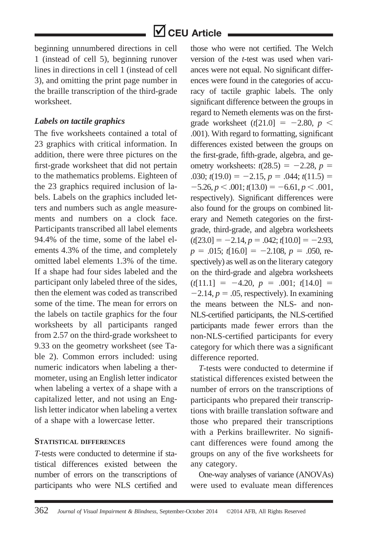

beginning unnumbered directions in cell 1 (instead of cell 5), beginning runover lines in directions in cell 1 (instead of cell 3), and omitting the print page number in the braille transcription of the third-grade worksheet.

#### *Labels on tactile graphics*

The five worksheets contained a total of 23 graphics with critical information. In addition, there were three pictures on the first-grade worksheet that did not pertain to the mathematics problems. Eighteen of the 23 graphics required inclusion of labels. Labels on the graphics included letters and numbers such as angle measurements and numbers on a clock face. Participants transcribed all label elements 94.4% of the time, some of the label elements 4.3% of the time, and completely omitted label elements 1.3% of the time. If a shape had four sides labeled and the participant only labeled three of the sides, then the element was coded as transcribed some of the time. The mean for errors on the labels on tactile graphics for the four worksheets by all participants ranged from 2.57 on the third-grade worksheet to 9.33 on the geometry worksheet (see Table 2). Common errors included: using numeric indicators when labeling a thermometer, using an English letter indicator when labeling a vertex of a shape with a capitalized letter, and not using an English letter indicator when labeling a vertex of a shape with a lowercase letter.

#### **STATISTICAL DIFFERENCES**

*T*-tests were conducted to determine if statistical differences existed between the number of errors on the transcriptions of participants who were NLS certified and

those who were not certified. The Welch version of the *t*-test was used when variances were not equal. No significant differences were found in the categories of accuracy of tactile graphic labels. The only significant difference between the groups in regard to Nemeth elements was on the firstgrade worksheet  $(t[21.0] = -2.80, p <$ .001). With regard to formatting, significant differences existed between the groups on the first-grade, fifth-grade, algebra, and geometry worksheets:  $t(28.5) = -2.28$ ,  $p =$ .030;  $t(19.0) = -2.15$ ,  $p = .044$ ;  $t(11.5) =$  $-5.26, p < .001; t(13.0) = -6.61, p < .001,$ respectively). Significant differences were also found for the groups on combined literary and Nemeth categories on the firstgrade, third-grade, and algebra worksheets  $(t[23.0] = -2.14, p = .042; t[10.0] = -2.93,$  $p = .015$ ;  $t[16.0] = -2.108$ ,  $p = .050$ , respectively) as well as on the literary category on the third-grade and algebra worksheets  $(t[11.1] = -4.20, p = .001; t[14.0] =$  $-2.14$ ,  $p = .05$ , respectively). In examining the means between the NLS- and non-NLS-certified participants, the NLS-certified participants made fewer errors than the non-NLS-certified participants for every category for which there was a significant difference reported.

*T*-tests were conducted to determine if statistical differences existed between the number of errors on the transcriptions of participants who prepared their transcriptions with braille translation software and those who prepared their transcriptions with a Perkins braillewriter. No significant differences were found among the groups on any of the five worksheets for any category.

One-way analyses of variance (ANOVAs) were used to evaluate mean differences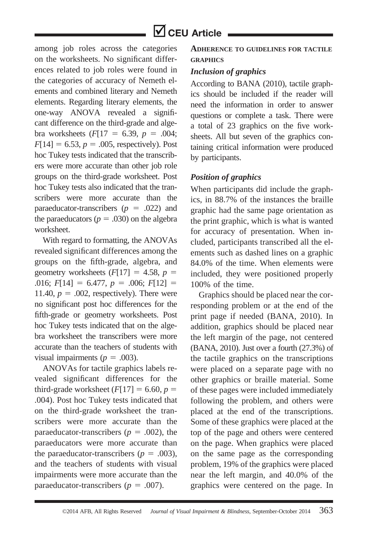among job roles across the categories on the worksheets. No significant differences related to job roles were found in the categories of accuracy of Nemeth elements and combined literary and Nemeth elements. Regarding literary elements, the one-way ANOVA revealed a significant difference on the third-grade and algebra worksheets  $(F[17 = 6.39, p = .004;$  $F[14] = 6.53, p = .005$ , respectively). Post hoc Tukey tests indicated that the transcribers were more accurate than other job role groups on the third-grade worksheet. Post hoc Tukey tests also indicated that the transcribers were more accurate than the paraeducator-transcribers  $(p = .022)$  and the paraeducators  $(p = .030)$  on the algebra worksheet.

With regard to formatting, the ANOVAs revealed significant differences among the groups on the fifth-grade, algebra, and geometry worksheets  $(F[17] = 4.58, p =$ .016;  $F[14] = 6.477$ ,  $p = .006$ ;  $F[12] =$ 11.40,  $p = .002$ , respectively). There were no significant post hoc differences for the fifth-grade or geometry worksheets. Post hoc Tukey tests indicated that on the algebra worksheet the transcribers were more accurate than the teachers of students with visual impairments ( $p = .003$ ).

ANOVAs for tactile graphics labels revealed significant differences for the third-grade worksheet  $(F[17] = 6.60, p =$ .004). Post hoc Tukey tests indicated that on the third-grade worksheet the transcribers were more accurate than the paraeducator-transcribers ( $p = .002$ ), the paraeducators were more accurate than the paraeducator-transcribers ( $p = .003$ ), and the teachers of students with visual impairments were more accurate than the paraeducator-transcribers ( $p = .007$ ).

#### **ADHERENCE TO GUIDELINES FOR TACTILE GRAPHICS**

#### *Inclusion of graphics*

According to BANA (2010), tactile graphics should be included if the reader will need the information in order to answer questions or complete a task. There were a total of 23 graphics on the five worksheets. All but seven of the graphics containing critical information were produced by participants.

### *Position of graphics*

When participants did include the graphics, in 88.7% of the instances the braille graphic had the same page orientation as the print graphic, which is what is wanted for accuracy of presentation. When included, participants transcribed all the elements such as dashed lines on a graphic 84.0% of the time. When elements were included, they were positioned properly 100% of the time.

Graphics should be placed near the corresponding problem or at the end of the print page if needed (BANA, 2010). In addition, graphics should be placed near the left margin of the page, not centered (BANA, 2010). Just over a fourth (27.3%) of the tactile graphics on the transcriptions were placed on a separate page with no other graphics or braille material. Some of these pages were included immediately following the problem, and others were placed at the end of the transcriptions. Some of these graphics were placed at the top of the page and others were centered on the page. When graphics were placed on the same page as the corresponding problem, 19% of the graphics were placed near the left margin, and 40.0% of the graphics were centered on the page. In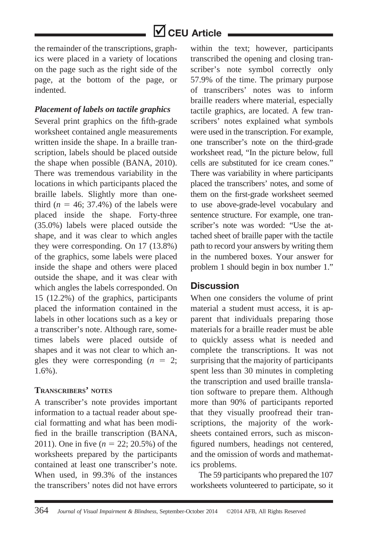

the remainder of the transcriptions, graphics were placed in a variety of locations on the page such as the right side of the page, at the bottom of the page, or indented.

### *Placement of labels on tactile graphics*

Several print graphics on the fifth-grade worksheet contained angle measurements written inside the shape. In a braille transcription, labels should be placed outside the shape when possible (BANA, 2010). There was tremendous variability in the locations in which participants placed the braille labels. Slightly more than onethird  $(n = 46; 37.4\%)$  of the labels were placed inside the shape. Forty-three (35.0%) labels were placed outside the shape, and it was clear to which angles they were corresponding. On 17 (13.8%) of the graphics, some labels were placed inside the shape and others were placed outside the shape, and it was clear with which angles the labels corresponded. On 15 (12.2%) of the graphics, participants placed the information contained in the labels in other locations such as a key or a transcriber's note. Although rare, sometimes labels were placed outside of shapes and it was not clear to which angles they were corresponding  $(n = 2)$ ; 1.6%).

#### **TRANSCRIBERS' NOTES**

A transcriber's note provides important information to a tactual reader about special formatting and what has been modified in the braille transcription (BANA, 2011). One in five  $(n = 22; 20.5%)$  of the worksheets prepared by the participants contained at least one transcriber's note. When used, in 99.3% of the instances the transcribers' notes did not have errors

within the text; however, participants transcribed the opening and closing transcriber's note symbol correctly only 57.9% of the time. The primary purpose of transcribers' notes was to inform braille readers where material, especially tactile graphics, are located. A few transcribers' notes explained what symbols were used in the transcription. For example, one transcriber's note on the third-grade worksheet read, "In the picture below, full cells are substituted for ice cream cones." There was variability in where participants placed the transcribers' notes, and some of them on the first-grade worksheet seemed to use above-grade-level vocabulary and sentence structure. For example, one transcriber's note was worded: "Use the attached sheet of braille paper with the tactile path to record your answers by writing them in the numbered boxes. Your answer for problem 1 should begin in box number 1."

# **Discussion**

When one considers the volume of print material a student must access, it is apparent that individuals preparing those materials for a braille reader must be able to quickly assess what is needed and complete the transcriptions. It was not surprising that the majority of participants spent less than 30 minutes in completing the transcription and used braille translation software to prepare them. Although more than 90% of participants reported that they visually proofread their transcriptions, the majority of the worksheets contained errors, such as misconfigured numbers, headings not centered, and the omission of words and mathematics problems.

The 59 participants who prepared the 107 worksheets volunteered to participate, so it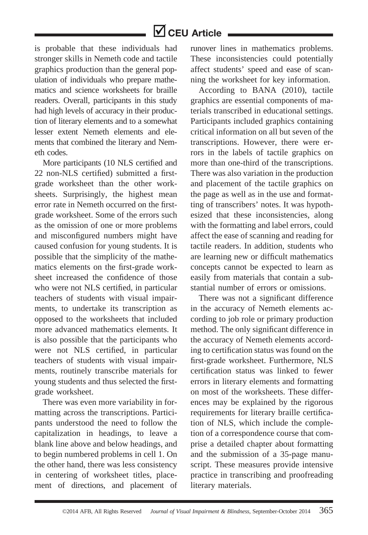is probable that these individuals had stronger skills in Nemeth code and tactile graphics production than the general population of individuals who prepare mathematics and science worksheets for braille readers. Overall, participants in this study had high levels of accuracy in their production of literary elements and to a somewhat lesser extent Nemeth elements and elements that combined the literary and Nemeth codes.

More participants (10 NLS certified and 22 non-NLS certified) submitted a firstgrade worksheet than the other worksheets. Surprisingly, the highest mean error rate in Nemeth occurred on the firstgrade worksheet. Some of the errors such as the omission of one or more problems and misconfigured numbers might have caused confusion for young students. It is possible that the simplicity of the mathematics elements on the first-grade worksheet increased the confidence of those who were not NLS certified, in particular teachers of students with visual impairments, to undertake its transcription as opposed to the worksheets that included more advanced mathematics elements. It is also possible that the participants who were not NLS certified, in particular teachers of students with visual impairments, routinely transcribe materials for young students and thus selected the firstgrade worksheet.

There was even more variability in formatting across the transcriptions. Participants understood the need to follow the capitalization in headings, to leave a blank line above and below headings, and to begin numbered problems in cell 1. On the other hand, there was less consistency in centering of worksheet titles, placement of directions, and placement of runover lines in mathematics problems. These inconsistencies could potentially affect students' speed and ease of scanning the worksheet for key information.

According to BANA (2010), tactile graphics are essential components of materials transcribed in educational settings. Participants included graphics containing critical information on all but seven of the transcriptions. However, there were errors in the labels of tactile graphics on more than one-third of the transcriptions. There was also variation in the production and placement of the tactile graphics on the page as well as in the use and formatting of transcribers' notes. It was hypothesized that these inconsistencies, along with the formatting and label errors, could affect the ease of scanning and reading for tactile readers. In addition, students who are learning new or difficult mathematics concepts cannot be expected to learn as easily from materials that contain a substantial number of errors or omissions.

There was not a significant difference in the accuracy of Nemeth elements according to job role or primary production method. The only significant difference in the accuracy of Nemeth elements according to certification status was found on the first-grade worksheet. Furthermore, NLS certification status was linked to fewer errors in literary elements and formatting on most of the worksheets. These differences may be explained by the rigorous requirements for literary braille certification of NLS, which include the completion of a correspondence course that comprise a detailed chapter about formatting and the submission of a 35-page manuscript. These measures provide intensive practice in transcribing and proofreading literary materials.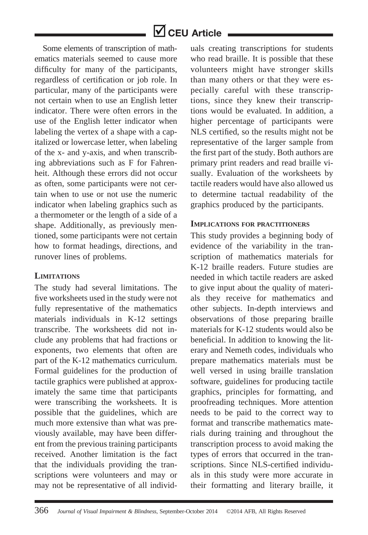Some elements of transcription of mathematics materials seemed to cause more difficulty for many of the participants, regardless of certification or job role. In particular, many of the participants were not certain when to use an English letter indicator. There were often errors in the use of the English letter indicator when labeling the vertex of a shape with a capitalized or lowercase letter, when labeling of the x- and y-axis, and when transcribing abbreviations such as F for Fahrenheit. Although these errors did not occur as often, some participants were not certain when to use or not use the numeric indicator when labeling graphics such as a thermometer or the length of a side of a shape. Additionally, as previously mentioned, some participants were not certain how to format headings, directions, and runover lines of problems.

#### **LIMITATIONS**

The study had several limitations. The five worksheets used in the study were not fully representative of the mathematics materials individuals in K-12 settings transcribe. The worksheets did not include any problems that had fractions or exponents, two elements that often are part of the K-12 mathematics curriculum. Formal guidelines for the production of tactile graphics were published at approximately the same time that participants were transcribing the worksheets. It is possible that the guidelines, which are much more extensive than what was previously available, may have been different from the previous training participants received. Another limitation is the fact that the individuals providing the transcriptions were volunteers and may or may not be representative of all individuals creating transcriptions for students who read braille. It is possible that these volunteers might have stronger skills than many others or that they were especially careful with these transcriptions, since they knew their transcriptions would be evaluated. In addition, a higher percentage of participants were NLS certified, so the results might not be representative of the larger sample from the first part of the study. Both authors are primary print readers and read braille visually. Evaluation of the worksheets by tactile readers would have also allowed us to determine tactual readability of the graphics produced by the participants.

#### **IMPLICATIONS FOR PRACTITIONERS**

This study provides a beginning body of evidence of the variability in the transcription of mathematics materials for K-12 braille readers. Future studies are needed in which tactile readers are asked to give input about the quality of materials they receive for mathematics and other subjects. In-depth interviews and observations of those preparing braille materials for K-12 students would also be beneficial. In addition to knowing the literary and Nemeth codes, individuals who prepare mathematics materials must be well versed in using braille translation software, guidelines for producing tactile graphics, principles for formatting, and proofreading techniques. More attention needs to be paid to the correct way to format and transcribe mathematics materials during training and throughout the transcription process to avoid making the types of errors that occurred in the transcriptions. Since NLS-certified individuals in this study were more accurate in their formatting and literary braille, it